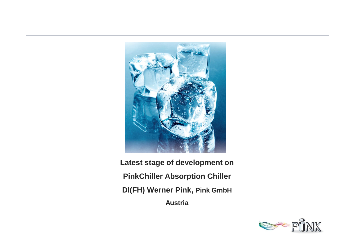

**Latest stage of development on PinkChiller Absorption Chiller DI(FH) Werner Pink, Pink GmbH Austria**

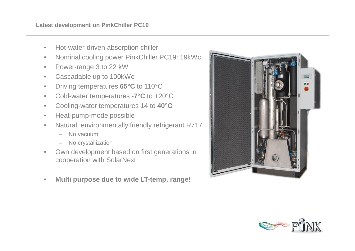- Hot-water-driven absorption chiller
- Nominal cooling power PinkChiller PC19: 19kWc
- Power-range 3 to 22 kW
- Cascadable up to 100kWc
- Driving temperatures **65°C** to 110°C
- Cold-water temperatures **-7°C** to +20°C
- Cooling-water temperatures 14 to **40°C**
- Heat-pump-mode possible
- Natural, environmentally friendly refrigerant R717
	- No vacuum
	- No crystallization
- Own development based on first generations in cooperation with SolarNext
- **Multi purpose due to wide LT-temp. range!**



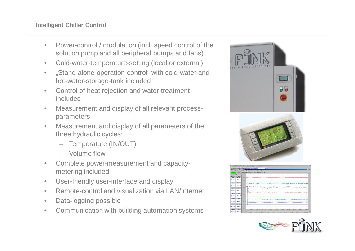- Power-control / modulation (incl. speed control of the solution pump and all peripheral pumps and fans)
- Cold-water-temperature-setting (local or external)
- "Stand-alone-operation-control" with cold-water and hot-water-storage-tank included
- Control of heat rejection and water-treatment included
- Measurement and display of all relevant processparameters
- Measurement and display of all parameters of the three hydraulic cycles:
	- Temperature (IN/OUT)
	- Volume flow
- Complete power-measurement and capacitymetering included
- User-friendly user-interface and display
- Remote-control and visualization via LAN/Internet
- Data-logging possible
- Communication with building automation systems



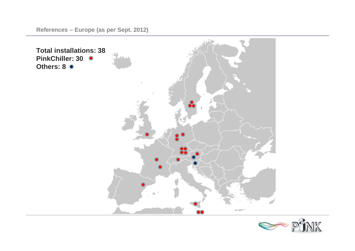**References – Europe (as per Sept. 2012)**



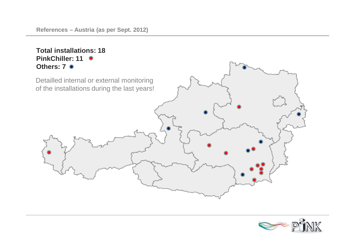## **Total installations: 18 PinkChiller: 11 Others: 7** Detailled internal or external monitoring of the installations during the last years!